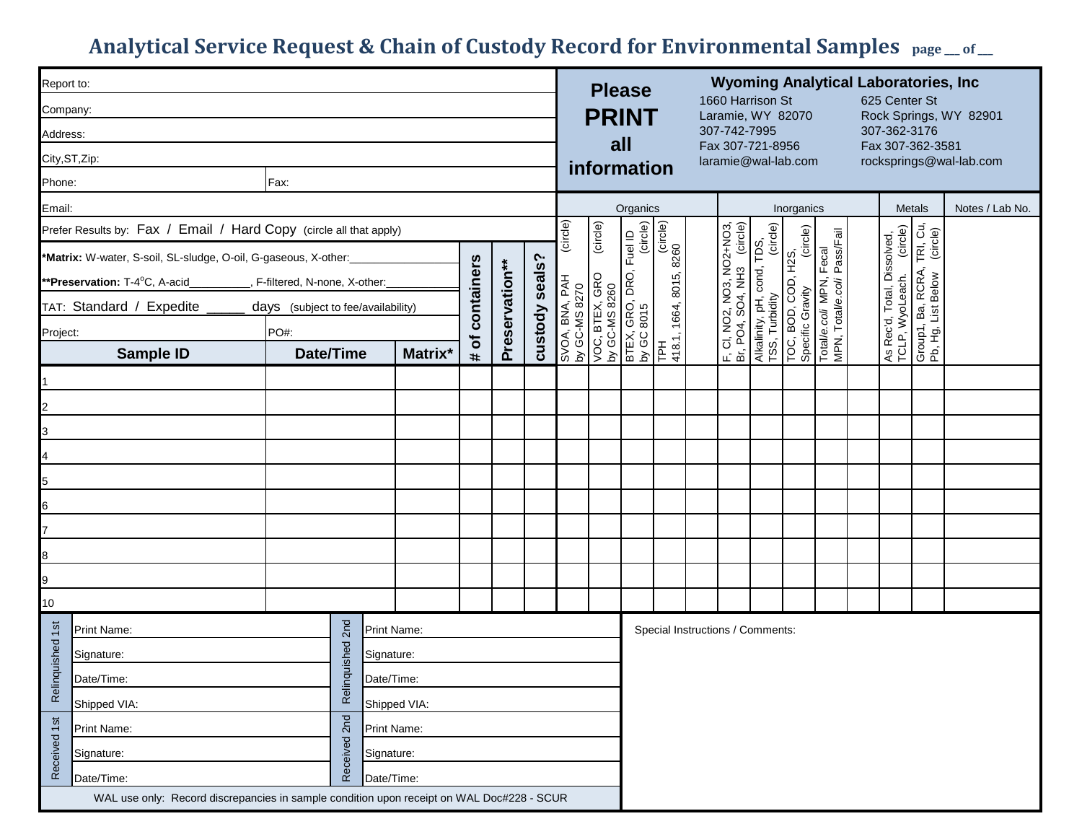## Analytical Service Request & Chain of Custody Record for Environmental Samples  $_{page\_of\_}$

| Report to:                                                                                          |                                                                                           |            |  |  |                |                                 | <b>Please</b> |                                                                                                                              |                                  | <b>Wyoming Analytical Laboratories, Inc.</b> |                                                         |                                                       |                                                                                                            |  |  |                                                         |                                                           |                 |  |  |
|-----------------------------------------------------------------------------------------------------|-------------------------------------------------------------------------------------------|------------|--|--|----------------|---------------------------------|---------------|------------------------------------------------------------------------------------------------------------------------------|----------------------------------|----------------------------------------------|---------------------------------------------------------|-------------------------------------------------------|------------------------------------------------------------------------------------------------------------|--|--|---------------------------------------------------------|-----------------------------------------------------------|-----------------|--|--|
| Company:                                                                                            |                                                                                           |            |  |  |                | <b>PRINT</b>                    |               |                                                                                                                              |                                  | 1660 Harrison St<br>Laramie, WY 82070        |                                                         |                                                       |                                                                                                            |  |  | 625 Center St<br>Rock Springs, WY 82901                 |                                                           |                 |  |  |
| Address:                                                                                            |                                                                                           |            |  |  |                |                                 | all           |                                                                                                                              |                                  |                                              | 307-742-7995<br>Fax 307-721-8956                        |                                                       |                                                                                                            |  |  | 307-362-3176<br>Fax 307-362-3581                        |                                                           |                 |  |  |
| City, ST, Zip:                                                                                      |                                                                                           |            |  |  |                | information                     |               |                                                                                                                              |                                  | laramie@wal-lab.com                          |                                                         |                                                       |                                                                                                            |  |  | rocksprings@wal-lab.com                                 |                                                           |                 |  |  |
| Phone:<br>Fax:                                                                                      |                                                                                           |            |  |  |                |                                 |               |                                                                                                                              |                                  |                                              |                                                         |                                                       |                                                                                                            |  |  |                                                         |                                                           |                 |  |  |
| Email:                                                                                              |                                                                                           |            |  |  |                | Organics                        |               |                                                                                                                              |                                  |                                              | Inorganics                                              |                                                       |                                                                                                            |  |  | Metals                                                  |                                                           | Notes / Lab No. |  |  |
| Prefer Results by: Fax / Email / Hard Copy (circle all that apply)                                  |                                                                                           |            |  |  | (circle)       |                                 |               |                                                                                                                              |                                  |                                              | (circle)                                                |                                                       |                                                                                                            |  |  |                                                         |                                                           |                 |  |  |
| *Matrix: W-water, S-soil, SL-sludge, O-oil, G-gaseous, X-other:_                                    |                                                                                           |            |  |  |                | SVOA, BNA, PAH<br>by GC-MS 8270 |               | VOC, BTEX, GRO (circle)<br>by GC-MS 8260<br>BTEX, GRO, DRO, Fuel ID<br>by GC 8015 (circle)<br>TPH<br>418.1, 1664, 8015, 8260 |                                  |                                              |                                                         |                                                       | TOC, BOD, COD, H2S,<br>Specific Gravity (circle)<br>Total/e.col/ MPN, Fecal<br>MPN, Total/e.col/ Pass/Fail |  |  | As Rec'd, Total, Dissolved,<br>TCLP, WyoLeach. (circle) | Group1, Ba, RCRA, TRI, Cu,<br>Pb, Hg, List Below (circle) |                 |  |  |
| **Preservation: T-4°C, A-acid__________, F-filtered, N-none, X-other:_                              |                                                                                           |            |  |  |                |                                 |               |                                                                                                                              |                                  |                                              |                                                         |                                                       |                                                                                                            |  |  |                                                         |                                                           |                 |  |  |
| # of containers<br>Preservation**<br>TAT: Standard / Expedite<br>days (subject to fee/availability) |                                                                                           |            |  |  | custody seals? |                                 |               |                                                                                                                              |                                  |                                              | F, CI, NO2, NO3, NO2+NO3,<br>Br, PO4, SO4, NH3 (circle) | Alkalinity, pH, cond, TDS,<br>TSS, Turbidity    (circ |                                                                                                            |  |  |                                                         |                                                           |                 |  |  |
| Project:                                                                                            | PO#:                                                                                      |            |  |  |                |                                 |               |                                                                                                                              |                                  |                                              |                                                         |                                                       |                                                                                                            |  |  |                                                         |                                                           |                 |  |  |
| Sample ID                                                                                           | Date/Time                                                                                 | Matrix*    |  |  |                |                                 |               |                                                                                                                              |                                  |                                              |                                                         |                                                       |                                                                                                            |  |  |                                                         |                                                           |                 |  |  |
|                                                                                                     |                                                                                           |            |  |  |                |                                 |               |                                                                                                                              |                                  |                                              |                                                         |                                                       |                                                                                                            |  |  |                                                         |                                                           |                 |  |  |
| $\overline{2}$                                                                                      |                                                                                           |            |  |  |                |                                 |               |                                                                                                                              |                                  |                                              |                                                         |                                                       |                                                                                                            |  |  |                                                         |                                                           |                 |  |  |
| $\overline{3}$                                                                                      |                                                                                           |            |  |  |                |                                 |               |                                                                                                                              |                                  |                                              |                                                         |                                                       |                                                                                                            |  |  |                                                         |                                                           |                 |  |  |
| $\overline{4}$                                                                                      |                                                                                           |            |  |  |                |                                 |               |                                                                                                                              |                                  |                                              |                                                         |                                                       |                                                                                                            |  |  |                                                         |                                                           |                 |  |  |
| $\frac{5}{1}$                                                                                       |                                                                                           |            |  |  |                |                                 |               |                                                                                                                              |                                  |                                              |                                                         |                                                       |                                                                                                            |  |  |                                                         |                                                           |                 |  |  |
| $6 \overline{6}$                                                                                    |                                                                                           |            |  |  |                |                                 |               |                                                                                                                              |                                  |                                              |                                                         |                                                       |                                                                                                            |  |  |                                                         |                                                           |                 |  |  |
|                                                                                                     |                                                                                           |            |  |  |                |                                 |               |                                                                                                                              |                                  |                                              |                                                         |                                                       |                                                                                                            |  |  |                                                         |                                                           |                 |  |  |
| $\overline{8}$                                                                                      |                                                                                           |            |  |  |                |                                 |               |                                                                                                                              |                                  |                                              |                                                         |                                                       |                                                                                                            |  |  |                                                         |                                                           |                 |  |  |
| $\overline{9}$                                                                                      |                                                                                           |            |  |  |                |                                 |               |                                                                                                                              |                                  |                                              |                                                         |                                                       |                                                                                                            |  |  |                                                         |                                                           |                 |  |  |
| $\frac{10}{10}$                                                                                     |                                                                                           |            |  |  |                |                                 |               |                                                                                                                              |                                  |                                              |                                                         |                                                       |                                                                                                            |  |  |                                                         |                                                           |                 |  |  |
| Print Name:                                                                                         | 2nd<br>Print Name:                                                                        |            |  |  |                |                                 |               |                                                                                                                              | Special Instructions / Comments: |                                              |                                                         |                                                       |                                                                                                            |  |  |                                                         |                                                           |                 |  |  |
| nquished 1st<br>Signature:                                                                          | Relinquished<br>Signature:                                                                |            |  |  |                |                                 |               |                                                                                                                              |                                  |                                              |                                                         |                                                       |                                                                                                            |  |  |                                                         |                                                           |                 |  |  |
| Date/Time:                                                                                          | Date/Time:                                                                                |            |  |  |                |                                 |               |                                                                                                                              |                                  |                                              |                                                         |                                                       |                                                                                                            |  |  |                                                         |                                                           |                 |  |  |
| Reli<br>Shipped VIA:<br>Shipped VIA:                                                                |                                                                                           |            |  |  |                |                                 |               |                                                                                                                              |                                  |                                              |                                                         |                                                       |                                                                                                            |  |  |                                                         |                                                           |                 |  |  |
| 2nd<br>Print Name:<br>Print Name:                                                                   |                                                                                           |            |  |  |                |                                 |               |                                                                                                                              |                                  |                                              |                                                         |                                                       |                                                                                                            |  |  |                                                         |                                                           |                 |  |  |
| Received 1st<br>Signature:                                                                          | Received                                                                                  | Signature: |  |  |                |                                 |               |                                                                                                                              |                                  |                                              |                                                         |                                                       |                                                                                                            |  |  |                                                         |                                                           |                 |  |  |
| Date/Time:<br>Date/Time:                                                                            |                                                                                           |            |  |  |                |                                 |               |                                                                                                                              |                                  |                                              |                                                         |                                                       |                                                                                                            |  |  |                                                         |                                                           |                 |  |  |
|                                                                                                     | WAL use only: Record discrepancies in sample condition upon receipt on WAL Doc#228 - SCUR |            |  |  |                |                                 |               |                                                                                                                              |                                  |                                              |                                                         |                                                       |                                                                                                            |  |  |                                                         |                                                           |                 |  |  |